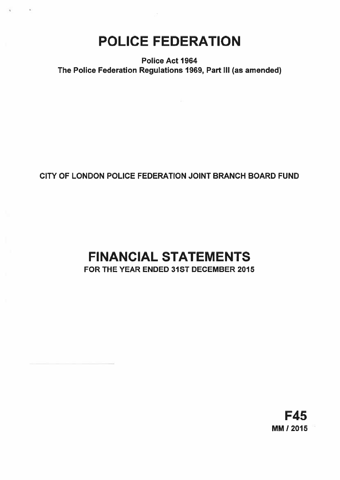POLICE FEDERATION

 $\vec{k}$ 

Police Act 1964 The Police Federation Regulations 1969, Part Ill (as amended)

## CITY OF LONDON POLICE FEDERATION JOINT BRANCH BOARD FUND

# FINANCIAL STATEMENTS FOR THE YEAR ENDED 31ST DECEMBER 2015

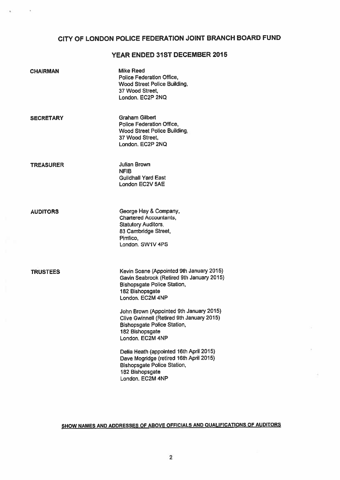## CITY OF LONDON POLICE FEDERATION JOINT BRANCH BOARD FUND

## YEAR ENDED 31ST DECEMBER 2015

| <b>CHAIRMAN</b>  | <b>Mike Reed</b><br>Police Federation Office,<br><b>Wood Street Police Building,</b><br>37 Wood Street,<br>London, EC2P 2NQ                                        |
|------------------|--------------------------------------------------------------------------------------------------------------------------------------------------------------------|
| <b>SECRETARY</b> | Graham Gilbert<br>Police Federation Office,<br><b>Wood Street Police Building,</b><br>37 Wood Street,<br>London, EC2P 2NQ                                          |
| <b>TREASURER</b> | <b>Julian Brown</b><br><b>NFIB</b><br><b>Guildhall Yard East</b><br>London EC2V 5AE                                                                                |
| <b>AUDITORS</b>  | George Hay & Company,<br><b>Chartered Accountants.</b><br><b>Statutory Auditors,</b><br>83 Cambridge Street,<br>Pimlico,<br>London. SW1V 4PS                       |
| <b>TRUSTEES</b>  | Kevin Soane (Appointed 9th January 2015)<br>Gavin Seabrook (Retired 9th January 2015)<br><b>Bishopsgate Police Station,</b><br>182 Bishopsgate<br>London. EC2M 4NP |
|                  | John Brown (Appointed 9th January 2015)<br>Clive Gwinnell (Retired 9th January 2015)<br><b>Bishopsgate Police Station,</b><br>182 Bishopsgate<br>London, EC2M 4NP  |
|                  | Delia Heath (appointed 16th April 2015)<br>Dave Mogridge (retired 16th April 2015)<br><b>Bishopsgate Police Station,</b><br>182 Bishopsgate<br>London, EC2M 4NP    |

 $\boldsymbol{\theta}$ 

SHOW NAMES AND ADDRESSES OF ABOVE OFFICIALS AND QUALIFICATIONS OF AUDITORS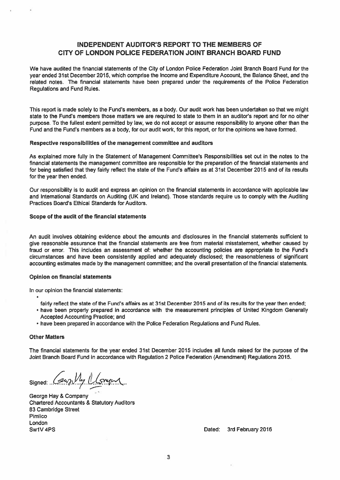### INDEPENDENT AUDITOR'S REPORT TO THE MEMBERS OF CITY OF LONDON POLICE FEDERATION JOINT BRANCH BOARD FUND

We have audited the financial statements of the City of London Police Federation Joint Branch Board Fund for the year ended 31st December 2015, which comprise the Income and Expenditure Account, the Balance Sheet, and the related notes. The financial statements have been prepared under the requirements of the Police Federation Regulations and Fund Rules.

This repor<sup>t</sup> is made solely to the Fund's members, as <sup>a</sup> body. Our audit work has been undertaken so that we might state to the Fund's members those matters we are required to state to them in an auditor's report and for no other purpose. To the fullest extent permitted by law, we do not accep<sup>t</sup> or assume responsibility to anyone other than the Fund and the Fund's members as <sup>a</sup> body, for our audit work, for this report, or for the opinions we have formed.

#### Respective responsibilities of the managemen<sup>t</sup> committee and auditors

As explained more fully in the Statement of Management Committee's Responsibilities set out in the notes to the financial statements the managemen<sup>t</sup> committee are responsible for the preparation of the financial statements and for being satisfied that they fairly reflect the state of the Fund's affairs as at 31st December 2015 and of its results for the year then ended.

Our responsibility is to audit and express an opinion on the financial statements in accordance with applicable law and International Standards on Auditing (UK and Ireland). Those standards require us to comply with the Auditing Practices Board's Ethical Standards for Auditors.

#### Scope of the audit of the financial statements

An audit involves obtaining evidence about the amounts and disclosures in the financial statements sufficient to give reasonable assurance that the financial statements are free from material misstatement, whether caused by fraud or error. This includes an assessment of: whether the accounting policies are appropriate to the Fund's circumstances and have been consistently applied and adequately disclosed; the reasonableness of significant accounting estimates made by the managemen<sup>t</sup> committee; and the overall presentation of the financial statements.

#### Opinion on financial statements

In our opinion the financial statements:

- fairly reflect the state of the Fund's affairs as at 31st December 2015 and of its results for the year then ended;
- have been properly prepared in accordance with the measurement principles of United Kingdom Generally Accepted Accounting Practice; and
- have been prepared in accordance with the Police Federation Regulations and Fund Rules.

#### Other Matters

The financial statements for the year ended 31st December 2015 includes all funds raised for the purpose of the Joint Branch Board Fund in accordance with Regulation 2 Police Federation (Amendment) Regulations 2015.

Signed: ..

George Hay & Company Chartered Accountants & Statutory Auditors 83 Cambridge Street Pimlico London Sw1V 4PS **Dated: 3rd February 2016** 2016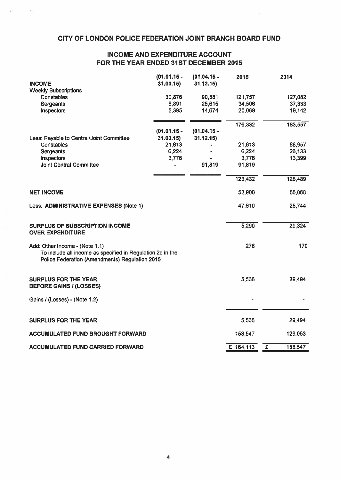## CITY OF LONDON POLICE FEDERATION JOINT BRANCH BOARD FUND

 $\sim$ 

 $\mathcal{L}$ 

## INCOME AND EXPENDITURE ACCOUNT FOR THE YEAR ENDED 31ST DECEMBER 2015

| <b>INCOME</b>                                                                                                                                  | $(01.01.15 -$<br>31.03.15 | $(01.04.15 -$<br>31.12.15 | 2015        | 2014                             |     |
|------------------------------------------------------------------------------------------------------------------------------------------------|---------------------------|---------------------------|-------------|----------------------------------|-----|
| <b>Weekly Subscriptions</b>                                                                                                                    |                           |                           |             |                                  |     |
| Constables                                                                                                                                     | 30,876                    | 90,881                    | 121,757     | 127,082                          |     |
| <b>Sergeants</b>                                                                                                                               | 8,891                     | 25,615                    | 34,506      | 37,333                           |     |
| Inspectors                                                                                                                                     | 5,395                     | 14,674                    | 20,069      | 19,142                           |     |
|                                                                                                                                                |                           |                           | 176,332     | 183,557                          |     |
|                                                                                                                                                | $(01.01.15 -$             | $(01.04.15 -$             |             |                                  |     |
| Less: Payable to Central/Joint Committee                                                                                                       | 31.03.15                  | 31.12.15                  |             |                                  |     |
| Constables                                                                                                                                     | 21,613                    |                           | 21,613      | 88,957                           |     |
| <b>Sergeants</b>                                                                                                                               | 6,224                     |                           | 6,224       | 26,133                           |     |
| Inspectors                                                                                                                                     | 3,776                     |                           | 3,776       | 13,399                           |     |
| <b>Joint Central Committee</b>                                                                                                                 |                           | 91,819                    | 91,819      |                                  |     |
|                                                                                                                                                |                           |                           | 123,432     | 128,489                          |     |
| <b>NET INCOME</b>                                                                                                                              |                           |                           | 52,900      | 55,068                           |     |
| Less: ADMINISTRATIVE EXPENSES (Note 1)                                                                                                         |                           |                           | 47,610      | 25,744                           |     |
| SURPLUS OF SUBSCRIPTION INCOME<br><b>OVER EXPENDITURE</b>                                                                                      |                           |                           | 5,290       | 29,324                           |     |
| Add: Other Income - (Note 1.1)<br>To include all income as specified in Regulation 2c in the<br>Police Federation (Amendments) Regulation 2015 |                           |                           | 276         |                                  | 170 |
| <b>SURPLUS FOR THE YEAR</b><br><b>BEFORE GAINS / (LOSSES)</b>                                                                                  |                           |                           | 5,566       | 29,494                           |     |
| Gains / (Losses) - (Note 1.2)                                                                                                                  |                           |                           |             |                                  |     |
| <b>SURPLUS FOR THE YEAR</b>                                                                                                                    |                           |                           | 5,566       | 29,494                           |     |
| ACCUMULATED FUND BROUGHT FORWARD                                                                                                               |                           |                           | 158,547     | 129,053                          |     |
|                                                                                                                                                |                           |                           |             |                                  |     |
| <b>ACCUMULATED FUND CARRIED FORWARD</b>                                                                                                        |                           |                           | $E$ 164,113 | $\overline{\epsilon}$<br>158,547 |     |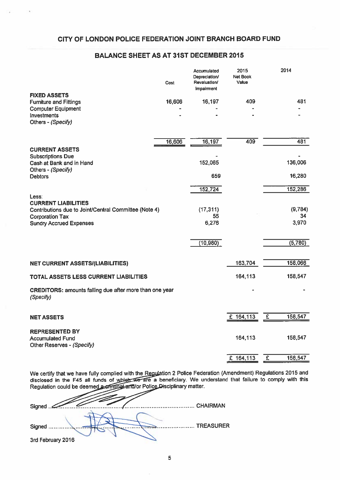### CITY OF LONDON POLICE FEDERATION JOINT BRANCH BOARD FUND

## BALANCE SHEET AS AT 31ST DECEMBER 2015

|                                                                             | Cost   | Accumulated<br>Depreciation/<br>Revaluation/<br>Impairment | 2015<br><b>Net Book</b><br>Value |                | 2014    |
|-----------------------------------------------------------------------------|--------|------------------------------------------------------------|----------------------------------|----------------|---------|
| <b>FIXED ASSETS</b>                                                         | 16,606 | 16,197                                                     | 409                              |                | 481     |
| <b>Furniture and Fittings</b><br><b>Computer Equipment</b>                  |        |                                                            |                                  |                |         |
| Investments                                                                 |        |                                                            |                                  |                |         |
| Others - (Specify)                                                          |        |                                                            |                                  |                |         |
|                                                                             | 16,606 | 16,197                                                     | 409                              |                | 481     |
| <b>CURRENT ASSETS</b>                                                       |        |                                                            |                                  |                |         |
| <b>Subscriptions Due</b><br>Cash at Bank and in Hand                        |        | 152,065                                                    |                                  |                | 136,006 |
| Others - (Specify)                                                          |        |                                                            |                                  |                |         |
| <b>Debtors</b>                                                              |        | 659                                                        |                                  |                | 16,280  |
|                                                                             |        | 152,724                                                    |                                  |                | 152,286 |
| Less:<br><b>CURRENT LIABILITIES</b>                                         |        |                                                            |                                  |                |         |
| Contributions due to Joint/Central Committee (Note 4)                       |        | (17, 311)                                                  |                                  |                | (9,784) |
| <b>Corporation Tax</b>                                                      |        | 55                                                         |                                  |                | 34      |
| <b>Sundry Accrued Expenses</b>                                              |        | 6,276                                                      |                                  |                | 3,970   |
|                                                                             |        | (10, 980)                                                  |                                  |                | (5,780) |
|                                                                             |        |                                                            |                                  |                |         |
| <b>NET CURRENT ASSETS/(LIABILITIES)</b>                                     |        |                                                            | 163,704                          |                | 158,066 |
| TOTAL ASSETS LESS CURRENT LIABILITIES                                       |        |                                                            | 164,113                          |                | 158,547 |
| <b>CREDITORS: amounts falling due after more than one year</b><br>(Specify) |        |                                                            |                                  |                |         |
| <b>NET ASSETS</b>                                                           |        |                                                            | £ 164,113                        | E              | 158,547 |
|                                                                             |        |                                                            |                                  |                |         |
| <b>REPRESENTED BY</b>                                                       |        |                                                            | 164,113                          |                | 158,547 |
| <b>Accumulated Fund</b><br>Other Reserves - (Specify)                       |        |                                                            |                                  |                |         |
|                                                                             |        |                                                            | £ 164,113                        | $\overline{E}$ | 158,547 |

We certify that we have fully complied with the <u>Regul</u>ation 2 Police Federation (Amendment) Regulations 2015 and disclosed in the F45 all funds of which we are a beneficiary. We understand that failure to comply with this Regulation could be deemed a criminal and/or Police Disciplinary matter.

| Signed            |           |
|-------------------|-----------|
|                   |           |
| Signed            | TREASURER |
| 3rd February 2016 |           |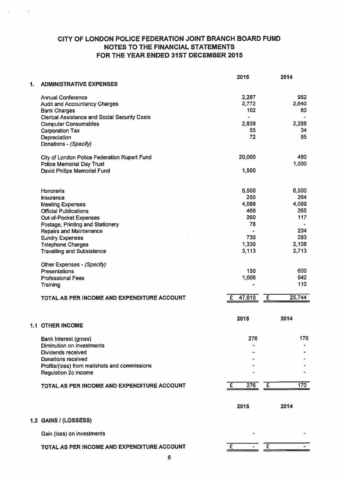## CITY OF LONDON POLICE FEDERATION JOINT BRANCH BOARD FUND NOTES TO THE FINANCIAL STATEMENTS FOR THE YEAR ENDED 31ST DECEMBER 2015

 $\sim$ 

|    |                                                      | 2015                     | 2014                              |
|----|------------------------------------------------------|--------------------------|-----------------------------------|
| 1. | <b>ADMINISTRATIVE EXPENSES</b>                       |                          |                                   |
|    | <b>Annual Conference</b>                             | 2,297                    | 952                               |
|    | <b>Audit and Accountancy Charges</b>                 | 2,772                    | 2,640                             |
|    | <b>Bank Charges</b>                                  | 102                      | 60                                |
|    | <b>Clerical Assistance and Social Security Costs</b> | $\overline{\phantom{a}}$ |                                   |
|    | <b>Computer Consumables</b>                          | 2,839                    | 2,288                             |
|    | <b>Corporation Tax</b>                               | 55                       | 34                                |
|    | Depreciation                                         | 72                       | 85                                |
|    | Donations - (Specify)                                |                          |                                   |
|    | City of London Police Federation Rupert Fund         | 20,000                   | 480                               |
|    | <b>Police Memorial Day Trust</b>                     |                          | 1,000                             |
|    | David Philips Memorial Fund                          | 1,500                    |                                   |
|    |                                                      |                          |                                   |
|    | Honoraria                                            | 6,500                    | 6,500                             |
|    | Insurance                                            | 250                      | 264                               |
|    | <b>Meeting Expenses</b>                              | 4,088                    | 4,099                             |
|    | <b>Official Publications</b>                         | 468                      | 265                               |
|    | <b>Out-of-Pocket Expenses</b>                        | 260                      | 117                               |
|    | Postage, Printing and Stationery                     | 78                       |                                   |
|    | <b>Repairs and Maintenance</b>                       |                          | 204                               |
|    | <b>Sundry Expenses</b>                               | 730                      | 283                               |
|    | <b>Telephone Charges</b>                             | 1,330                    | 2,108                             |
|    | <b>Travelling and Subsistence</b>                    | 3,113                    | 2,713                             |
|    | Other Expenses - (Specify)                           |                          |                                   |
|    | <b>Presentations</b>                                 | 150                      | 600                               |
|    | <b>Professional Fees</b>                             | 1,006                    | 942                               |
|    | Training                                             | $\bullet$                | 110                               |
|    | TOTAL AS PER INCOME AND EXPENDITURE ACCOUNT          | £ $47,610$               | 25,744<br>$\overline{\mathbf{f}}$ |
|    |                                                      |                          |                                   |
|    | <b>1.1 OTHER INCOME</b>                              | 2015                     | 2014                              |
|    |                                                      |                          | 170                               |
|    | Bank Interest (gross)                                | 276                      |                                   |
|    | Diminution on investments<br>Dividends received      |                          |                                   |
|    | Donations received                                   |                          |                                   |
|    | Profits/(loss) from mailshots and commissions        |                          |                                   |
|    | <b>Regulation 2c income</b>                          |                          |                                   |
|    | TOTAL AS PER INCOME AND EXPENDITURE ACCOUNT          | 276<br>£                 | 170<br>-£                         |
|    |                                                      |                          |                                   |
|    |                                                      | 2015                     | 2014                              |
|    | 1.2 GAINS / (LOSSESS)                                |                          |                                   |
|    | Gain (loss) on investments                           |                          |                                   |
|    |                                                      |                          |                                   |
|    | TOTAL AS PER INCOME AND EXPENDITURE ACCOUNT          | E                        | £                                 |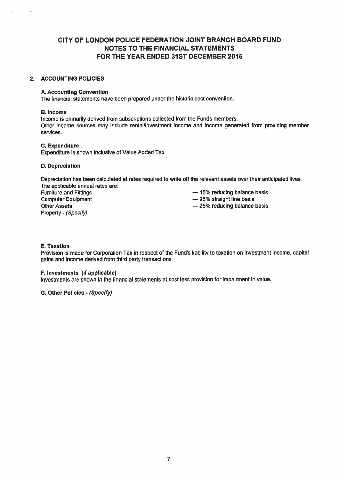### CITY OF LONDON POLICE FEDERATION JOINT BRANCH BOARD FUND NOTES TO THE FINANCIAL STATEMENTS FOR THE YEAR ENDED 31ST DECEMBER 2015

#### 2. ACCOUNTING POLICIES

#### A. Accounting Convention

The financial statements have been prepared under the historic cost convention.

#### B. Income

Income is primarily derived from subscriptions collected from the Funds members. Other income sources may include rental/investment income and income generated from providing member services,

#### C. Expenditure

Expenditure is shown inclusive of Value Added Tax.

#### D. Depreciation

Depreciation has been calculated at rates required to write off the relevant assets over their anticipated lives. The applicable annual rates are:

Furniture and Fittings — 15% reducing balance basis Computer Equipment **25%** straight line basis Other Assets **25% reducing balance basis** Property - (Specify)

#### E. Taxation

Provision is made for Corporation Tax in respect of the Fund's liability to taxation on investment income, capital gains and income derived from third party transactions.

#### F. Investments (if applicable)

Investments are shown in the financial statements at cost less provision for impairment in value.

G. Other Policies - (Specify)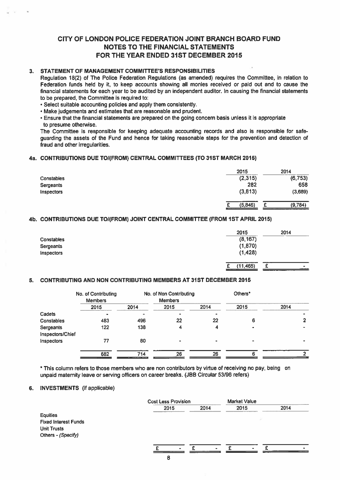## CITY OF LONDON POLICE FEDERATION JOINT BRANCH BOARD FUND NOTES TO THE FINANCIAL STATEMENTS FOR THE YEAR ENDED 31ST DECEMBER 2015

#### 3. STATEMENT OF MANAGEMENT COMMITTEE'S RESPONSIBILITIES

#### 4a. CONTRIBUTIONS DUE TO!(FROM) CENTRAL COMMITTEES (TO 31ST MARCH 2015)

|                   | 2015     | 2014         |
|-------------------|----------|--------------|
| <b>Constables</b> | (2,315)  | (6, 753)     |
| Sergeants         | 282      | 658          |
| Inspectors        | (3, 813) | (3,689)      |
|                   | (5,846)  | (9,784)<br>c |

#### 4b. CONTRIBUTIONS DUE TOI(FROM) JOINT CENTRAL COMMITTEE (FROM 1ST APRIL 2015)

| <b>Constables</b><br>Sergeants<br>Inspectors | 2015<br>(8, 167)<br>(1,870)<br>(1,428) | 2014        |
|----------------------------------------------|----------------------------------------|-------------|
|                                              | (11, 465)<br>ı                         | c<br>$\sim$ |

#### 5. CONTRIBUTING AND NON CONTRIBUTING MEMBERS AT 31ST DECEMBER 2015

|                                              | CITY OF LONDON POLICE FEDERATION JOINT BRANCH BOARD FUND                                                                                                                                                                                                                                                                                                                                                                                                                                                                                                                                                                                                                                                                                                                                                                                                                                                                                                 |      | <b>NOTES TO THE FINANCIAL STATEMENTS</b><br>FOR THE YEAR ENDED 31ST DECEMBER 2015 |      |                                          |                         |
|----------------------------------------------|----------------------------------------------------------------------------------------------------------------------------------------------------------------------------------------------------------------------------------------------------------------------------------------------------------------------------------------------------------------------------------------------------------------------------------------------------------------------------------------------------------------------------------------------------------------------------------------------------------------------------------------------------------------------------------------------------------------------------------------------------------------------------------------------------------------------------------------------------------------------------------------------------------------------------------------------------------|------|-----------------------------------------------------------------------------------|------|------------------------------------------|-------------------------|
| to presume otherwise.                        | STATEMENT OF MANAGEMENT COMMITTEE'S RESPONSIBILITIES<br>Regulation 18(2) of The Police Federation Regulations (as amended) requires the Committee, in relation to<br>Federation funds held by it, to keep accounts showing all monies received or paid out and to cause the<br>financial statements for each year to be audited by an independent auditor. In causing the financial statements<br>to be prepared, the Committee is required to:<br>Select suitable accounting policies and apply them consistently.<br>Make judgements and estimates that are reasonable and prudent.<br>Ensure that the financial statements are prepared on the going concern basis unless it is appropriate<br>The Committee is responsible for keeping adequate accounting records and also is responsible for safe-<br>guarding the assets of the Fund and hence for taking reasonable steps for the prevention and detection of<br>fraud and other irregularities. |      |                                                                                   |      |                                          |                         |
|                                              | CONTRIBUTIONS DUE TO/(FROM) CENTRAL COMMITTEES (TO 31ST MARCH 2015)                                                                                                                                                                                                                                                                                                                                                                                                                                                                                                                                                                                                                                                                                                                                                                                                                                                                                      |      |                                                                                   |      |                                          |                         |
| Constables<br>Sergeants                      |                                                                                                                                                                                                                                                                                                                                                                                                                                                                                                                                                                                                                                                                                                                                                                                                                                                                                                                                                          |      |                                                                                   |      | 2015<br>(2,315)<br>282                   | 2014<br>(6, 753)<br>658 |
| Inspectors                                   |                                                                                                                                                                                                                                                                                                                                                                                                                                                                                                                                                                                                                                                                                                                                                                                                                                                                                                                                                          |      |                                                                                   |      | (3, 813)                                 | (3,689)                 |
|                                              | CONTRIBUTIONS DUE TO/(FROM) JOINT CENTRAL COMMITTEE (FROM 1ST APRIL 2015)                                                                                                                                                                                                                                                                                                                                                                                                                                                                                                                                                                                                                                                                                                                                                                                                                                                                                |      |                                                                                   |      | £<br>(5,846)                             | (9,784)<br>£            |
| Constables<br>Sergeants<br><b>Inspectors</b> |                                                                                                                                                                                                                                                                                                                                                                                                                                                                                                                                                                                                                                                                                                                                                                                                                                                                                                                                                          |      |                                                                                   |      | 2015<br>(8, 167)<br>(1, 870)<br>(1, 428) | 2014                    |
|                                              |                                                                                                                                                                                                                                                                                                                                                                                                                                                                                                                                                                                                                                                                                                                                                                                                                                                                                                                                                          |      |                                                                                   |      | (11, 465)<br>£                           | £                       |
|                                              | CONTRIBUTING AND NON CONTRIBUTING MEMBERS AT 31ST DECEMBER 2015<br>No. of Contributing                                                                                                                                                                                                                                                                                                                                                                                                                                                                                                                                                                                                                                                                                                                                                                                                                                                                   |      | No. of Non Contributing                                                           |      | Others*                                  |                         |
|                                              | <b>Members</b>                                                                                                                                                                                                                                                                                                                                                                                                                                                                                                                                                                                                                                                                                                                                                                                                                                                                                                                                           |      | <b>Members</b>                                                                    |      |                                          |                         |
|                                              | 2015                                                                                                                                                                                                                                                                                                                                                                                                                                                                                                                                                                                                                                                                                                                                                                                                                                                                                                                                                     | 2014 | 2015                                                                              | 2014 | 2015                                     | 2014                    |
| Cadets<br>Constables                         | 483                                                                                                                                                                                                                                                                                                                                                                                                                                                                                                                                                                                                                                                                                                                                                                                                                                                                                                                                                      | 496  | 22                                                                                | 22   | 6                                        | $\overline{\mathbf{2}}$ |
| Sergeants                                    | 122                                                                                                                                                                                                                                                                                                                                                                                                                                                                                                                                                                                                                                                                                                                                                                                                                                                                                                                                                      | 138  | 4                                                                                 | 4    |                                          |                         |
| Inspectors/Chief                             |                                                                                                                                                                                                                                                                                                                                                                                                                                                                                                                                                                                                                                                                                                                                                                                                                                                                                                                                                          |      |                                                                                   |      |                                          |                         |
| Inspectors                                   | 77                                                                                                                                                                                                                                                                                                                                                                                                                                                                                                                                                                                                                                                                                                                                                                                                                                                                                                                                                       | 80   |                                                                                   |      |                                          |                         |
|                                              | 682                                                                                                                                                                                                                                                                                                                                                                                                                                                                                                                                                                                                                                                                                                                                                                                                                                                                                                                                                      | 714  | 26                                                                                | 26   | 6                                        | 2 <sub>1</sub>          |
|                                              | This column refers to those members who are non contributors by virtue of receiving no pay, being on<br>unpaid maternity leave or serving officers on career breaks. (JBB Circular 53/96 refers)<br><b>INVESTMENTS</b> (if applicable)                                                                                                                                                                                                                                                                                                                                                                                                                                                                                                                                                                                                                                                                                                                   |      |                                                                                   |      |                                          |                         |
|                                              |                                                                                                                                                                                                                                                                                                                                                                                                                                                                                                                                                                                                                                                                                                                                                                                                                                                                                                                                                          |      | <b>Cost Less Provision</b>                                                        |      | <b>Market Value</b>                      |                         |
|                                              |                                                                                                                                                                                                                                                                                                                                                                                                                                                                                                                                                                                                                                                                                                                                                                                                                                                                                                                                                          |      | 2015                                                                              | 2014 | 2015                                     | 2014                    |

#### 6. INVESTMENTS (if applicable)

|                             | <b>Cost Less Provision</b> |                | <b>Market Value</b> |      |
|-----------------------------|----------------------------|----------------|---------------------|------|
|                             | 2015                       | 2014           | 2015                | 2014 |
| <b>Equities</b>             |                            |                |                     |      |
| <b>Fixed Interest Funds</b> |                            |                |                     |      |
| <b>Unit Trusts</b>          |                            |                |                     |      |
| Others - (Specify)          |                            |                |                     |      |
|                             |                            |                |                     |      |
|                             |                            | $\blacksquare$ | $\blacksquare$      |      |
|                             | В                          |                |                     |      |